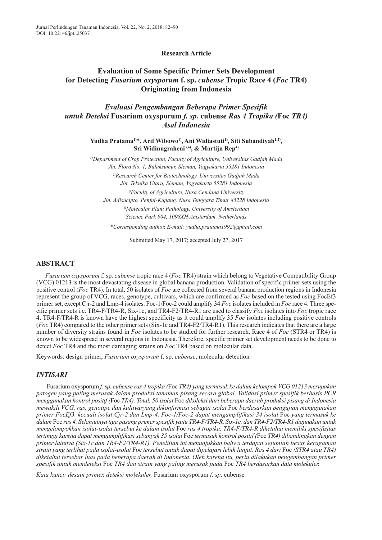**Research Article**

# **Evaluation of Some Specific Primer Sets Development for Detecting** *Fusarium oxysporum* **f. sp.** *cubense* **Tropic Race 4 (***Foc* **TR4) Originating from Indonesia**

*Evaluasi Pengembangan Beberapa Primer Spesifik untuk Deteksi* **Fusarium oxysporum** *f. sp.* **cubense** *Ras 4 Tropika (***Foc** *TR4) Asal Indonesia* 

> **Yudha Pratama1)**\***, Arif Wibowo1), Ani Widiastuti1), Siti Subandiyah1,2) , Sri Widinugraheni3,4), & Martijn Rep4)**

> *1)Department of Crop Protection, Faculty of Agriculture, Universitas Gadjah Mada Jln. Flora No. 1, Bulaksumur, Sleman, Yogyakarta 55281 Indonesia 2)Research Center for Biotechnology, Universitas Gadjah Mada Jln. Teknika Utara, Sleman, Yogyakarta 55281 Indonesia 3)Faculty of Agriculture, Nusa Cendana University Jln. Adisucipto, Penfui-Kupang, Nusa Tenggara Timur 85228 Indonesia 4)Molecular Plant Pathology, University of Amsterdam*

> > *Science Park 904, 1098XH Amsterdam, Netherlands*

*\*Corresponding author. E-mail: yudha.pratama1992@gmail.com*

Submitted May 17, 2017; accepted July 27, 2017

## **ABSTRACT**

*Fusarium oxysporum* f. sp. *cubense* tropic race 4 (*Foc* TR4) strain which belong to Vegetative Compatibility Group (VCG) 01213 is the most devastating disease in global banana production. Validation of specific primer sets using the positive control (*Foc* TR4). In total, 50 isolates of *Foc* are collected from several banana production regions in Indonesia represent the group of VCG, races, genotype, cultivars, which are confirmed as *Foc* based on the tested using FocEf3 primer set, except Cjr-2 and Lmp-4 isolates. Foc-1/Foc-2 could amplify 34 *Foc* isolates included in *Foc* race 4. Three specific primer sets i.e. TR4-F/TR4-R, Six-1c, and TR4-F2/TR4-R1 are used to classify *Foc* isolates into *Foc* tropic race 4. TR4-F/TR4-R is known have the highest specificity as it could amplify 35 *Foc* isolates including positive controls (*Foc* TR4) compared to the other primer sets (Six-1c and TR4-F2/TR4-R1). This research indicates that there are a large number of diversity strains found in *Foc* isolates to be studied for further research. Race 4 of *Foc* (STR4 or TR4) is known to be widespread in several regions in Indonesia. Therefore, specific primer set development needs to be done to detect *Foc* TR4 and the most damaging strains on *Foc* TR4 based on molecular data.

Keywords: design primer, *Fusarium oxysporum* f. sp. *cubense*, molecular detection

## *INTISARI*

Fusarium oxysporum *f. sp. cubense ras 4 tropika (*Foc*TR4) yang termasuk ke dalam kelompok VCG 01213 merupakan patogen yang paling merusak dalam produksi tanaman pisang secara global. Validasi primer spesifik berbasis PCR menggunakan kontrol positif (*Foc *TR4). Total, 50 isolat*Foc *dikoleksi dari beberapa daerah produksi pisang di Indonesia mewakili VCG, ras, genotipe dan kultivaryang dikonfirmasi sebagai isolat* Foc *berdasarkan pengujian menggunakan primer FocEf3, kecuali isolat Cjr-2 dan Lmp-4. Foc-1/Foc-2 dapat mengamplifikasi 34 isolat* Foc *yang termasuk ke dalam* Foc *ras 4. Selanjutnya tiga pasang primer spesifik yaitu TR4-F/TR4-R, Six-1c, dan TR4-F2/TR4-R1 digunakan untuk mengelompokkan isolat-isolat tersebut ke dalam isolat* Foc *ras 4 tropika. TR4-F/TR4-R diketahui memiliki spesifisitas tertinggi karena dapat mengamplifikasi sebanyak 35 isolat* Foc *termasuk kontrol positif (*Foc*TR4) dibandingkan dengan primer lainnya (Six-1c dan TR4-F2/TR4-R1). Penelitian ini menunjukkan bahwa terdapat sejumlah besar keragaman strain yang terlihat pada isolat-isolat* Foc *tersebut untuk dapat dipelajari lebih lanjut. Ras 4 dari* Foc *(STR4 atau TR4) diketahui tersebar luas pada beberapa daerah di Indonesia. Oleh karena itu, perlu dilakukan pengembangan primer spesifik untuk mendeteksi* Foc *TR4 dan strain yang paling merusak pada* Foc *TR4 berdasarkan data molekuler.*

*Kata kunci: desain primer, deteksi molekuler,* Fusarium oxysporum *f. sp*. cubense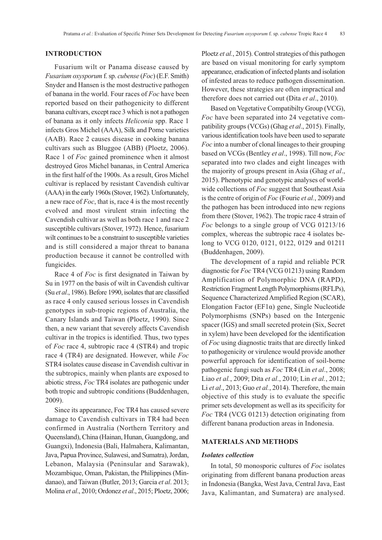### **INTRODUCTION**

Fusarium wilt or Panama disease caused by *Fusarium oxysporum* f. sp. *cubense* (*Foc*) (E.F. Smith) Snyder and Hansen is the most destructive pathogen of banana in the world. Four races of *Foc* have been reported based on their pathogenicity to different banana cultivars, except race 3 which is not a pathogen of banana as it only infects *Heliconia* spp. Race 1 infects Gros Michel (AAA), Silk and Pome varieties (AAB). Race 2 causes disease in cooking banana cultivars such as Bluggoe (ABB) (Ploetz, 2006). Race 1 of *Foc* gained prominence when it almost destroyed Gros Michel bananas, in Central America in the first half of the 1900s. As a result, Gros Michel cultivar is replaced by resistant Cavendish cultivar (AAA) in the early 1960s (Stover, 1962). Unfortunately, a new race of *Foc*, that is, race 4 is the most recently evolved and most virulent strain infecting the Cavendish cultivar as well as both race 1 and race 2 susceptible cultivars (Stover, 1972). Hence, fusarium wilt continues to be a constraint to susceptible varieties and is still considered a major threat to banana production because it cannot be controlled with fungicides.

Race 4 of *Foc* is first designated in Taiwan by Su in 1977 on the basis of wilt in Cavendish cultivar (Su *et al*., 1986). Before 1990, isolates that are classified as race 4 only caused serious losses in Cavendish genotypes in sub-tropic regions of Australia, the Canary Islands and Taiwan (Ploetz, 1990). Since then, a new variant that severely affects Cavendish cultivar in the tropics is identified. Thus, two types of *Foc* race 4, subtropic race 4 (STR4) and tropic race 4 (TR4) are designated. However, while *Foc* STR4 isolates cause disease in Cavendish cultivar in the subtropics, mainly when plants are exposed to abiotic stress, *Foc* TR4 isolates are pathogenic under both tropic and subtropic conditions (Buddenhagen, 2009).

Since its appearance, Foc TR4 has caused severe damage to Cavendish cultivars in TR4 had been confirmed in Australia (Northern Territory and Queensland), China (Hainan, Hunan, Guangdong, and Guangxi), Indonesia (Bali, Halmahera, Kalimantan, Java, Papua Province, Sulawesi, and Sumatra), Jordan, Lebanon, Malaysia (Peninsular and Sarawak), Mozambique, Oman, Pakistan, the Philippines (Mindanao), and Taiwan (Butler, 2013; Garcia *et al*. 2013; Molina *et al*., 2010; Ordonez *et al*., 2015; Ploetz, 2006;

Ploetz *et al.*, 2015). Control strategies of this pathogen are based on visual monitoring for early symptom appearance, eradication of infected plants and isolation of infested areas to reduce pathogen dissemination. However, these strategies are often impractical and therefore does not carried out (Dita *et al*., 2010).

Based on Vegetative Compatibilty Group (VCG), *Foc* have been separated into 24 vegetative compatibility groups (VCGs) (Ghag *et al*., 2015). Finally, various identification tools have been used to separate *Foc* into a number of clonal lineages to their grouping based on VCGs (Bentley *et al*., 1998). Till now, *Foc* separated into two clades and eight lineages with the majority of groups present in Asia (Ghag *et al*., 2015). Phenotypic and genotypic analyses of worldwide collections of *Foc* suggest that Southeast Asia is the centre of origin of *Foc* (Fourie *et al.*, 2009) and the pathogen has been introduced into new regions from there (Stover, 1962). The tropic race 4 strain of *Foc* belongs to a single group of VCG 01213/16 complex, whereas the subtropic race 4 isolates belong to VCG 0120, 0121, 0122, 0129 and 01211 (Buddenhagen, 2009).

The development of a rapid and reliable PCR diagnostic for *Foc* TR4 (VCG 01213) using Random Amplification of Polymorphic DNA (RAPD), Restriction Fragment Length Polymorphisms (RFLPs), Sequence Characterized Amplified Region (SCAR), Elongation Factor ( $EFA$ ) gene, Single Nucleotide Polymorphisms (SNPs) based on the Intergenic spacer (IGS) and small secreted protein (Six, Secret in xylem) have been developed for the identification of *Foc* using diagnostic traits that are directly linked to pathogenicity or virulence would provide another powerful approach for identification of soil-borne pathogenic fungi such as *Foc* TR4 (Lin *et al*., 2008; Liao *et al.*, 2009; Dita *et al*., 2010; Lin *et al.*, 2012; Li *et al*., 2013; Guo *et al.*, 2014). Therefore, the main objective of this study is to evaluate the specific primer sets development as well as its specificity for *Foc* TR4 (VCG 01213) detection originating from different banana production areas in Indonesia.

#### **MATERIALS AND METHODS**

#### *Isolates collection*

In total, 50 monosporic cultures of *Foc* isolates originating from different banana production areas in Indonesia (Bangka, West Java, Central Java, East Java, Kalimantan, and Sumatera) are analysed.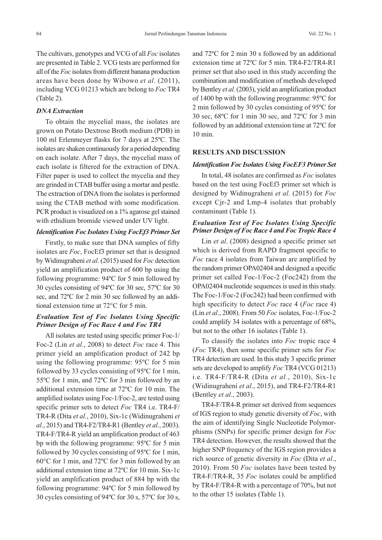The cultivars, genotypes and VCG of all *Foc* isolates are presented in Table 2. VCG tests are performed for all of the *Foc* isolates from different banana production areas have been done by Wibowo *et al*. (2011), including VCG 01213 which are belong to *Foc* TR4 (Table 2).

#### *DNA Extraction*

To obtain the mycelial mass, the isolates are grown on Potato Dextrose Broth medium (PDB) in 100 ml Erlenmeyer flasks for 7 days at 25ºC. The isolates are shaken continuously for a period depending on each isolate. After 7 days, the mycelial mass of each isolate is filtered for the extraction of DNA. Filter paper is used to collect the mycelia and they are grinded in CTAB buffer using a mortar and pestle. The extraction of DNA from the isolates is performed using the CTAB method with some modification. PCR product is visualized on a 1% agarose gel stained with ethidium bromide viewed under UV light.

### *Identification Foc Isolates Using FocEf3 Primer Set*

Firstly, to make sure that DNA samples of fifty isolates are *Foc*, FocEf3 primer set that is designed by Widinugraheni *et al*. (2015) used for *Foc* detection yield an amplification product of 600 bp using the following programme: 94ºC for 5 min followed by 30 cycles consisting of 94ºC for 30 sec, 57ºC for 30 sec, and 72ºC for 2 min 30 sec followed by an additional extension time at 72°C for 5 min.

# *Evaluation Test of Foc Isolates Using Specific Primer Design of Foc Race 4 and Foc TR4*

All isolates are tested using specific primer Foc-1/ Foc-2 (Lin *et al*., 2008) to detect *Foc* race 4. This primer yield an amplification product of 242 bp using the following programme: 95ºC for 5 min followed by 33 cycles consisting of 95ºC for 1 min, 55ºC for 1 min, and 72ºC for 3 min followed by an additional extension time at 72ºC for 10 min. The amplified isolates using Foc-1/Foc-2, are tested using specific primer sets to detect *Foc* TR4 i.e. TR4-F/ TR4-R (Dita *et al*., 2010), Six-1c (Widinugraheni *et al*., 2015) and TR4-F2/TR4-R1 (Bentley *et al.*, 2003). TR4-F/TR4-R yield an amplification product of 463 bp with the following programme: 95ºC for 5 min followed by 30 cycles consisting of 95ºC for 1 min, 60°C for 1 min, and 72ºC for 3 min followed by an additional extension time at 72ºC for 10 min. Six-1c yield an amplification product of 884 bp with the following programme: 94ºC for 5 min followed by 30 cycles consisting of 94ºC for 30 s, 57ºC for 30 s, and 72ºC for 2 min 30 s followed by an additional extension time at 72ºC for 5 min. TR4-F2/TR4-R1 primer set that also used in this study according the combination and modification of methods developed by Bentley *et al.*(2003), yield an amplification product of 1400 bp with the following programme: 95ºC for 2 min followed by 30 cycles consisting of 95ºC for 30 sec, 68ºC for 1 min 30 sec, and 72ºC for 3 min followed by an additional extension time at 72ºC for 10 min.

### **RESULTS AND DISCUSSION**

#### *Identification Foc Isolates Using FocEF3 Primer Set*

In total, 48 isolates are confirmed as *Foc* isolates based on the test using FocEf3 primer set which is designed by Widinugraheni *et al*. (2015) for *Foc* except Cjr-2 and Lmp-4 isolates that probably contaminant (Table 1).

# *Evaluation Test of Foc Isolates Using Specific Primer Design of Foc Race 4 and Foc Tropic Race 4*

Lin *et al*. (2008) designed a specific primer set which is derived from RAPD fragment specific to *Foc* race 4 isolates from Taiwan are amplified by the random primer OPA02404 and designed a specific primer set called Foc-1/Foc-2 (Foc242) from the OPA02404 nucleotide sequences is used in this study. The Foc-1/Foc-2 (Foc242) had been confirmed with high specificity to detect *Foc* race 4 (*Foc* race 4) (Lin *et al*., 2008). From 50 *Foc* isolates, Foc-1/Foc-2 could amplify 34 isolates with a percentage of 68%, but not to the other 16 isolates (Table 1).

To classify the isolates into *Foc* tropic race 4 (*Foc* TR4), then some specific primer sets for *Foc* TR4 detection are used. In this study 3 specific primer sets are developed to amplify *Foc* TR4 (VCG 01213) i.e. TR4-F/TR4-R (Dita *et al.*, 2010), Six-1c (Widinugraheni *et al*., 2015), and TR4-F2/TR4-R1 (Bentley *et al*., 2003).

TR4-F/TR4-R primer set derived from sequences of IGS region to study genetic diversity of *Foc*, with the aim of identifying Single Nucleotide Polymorphisms (SNPs) for specific primer design for *Foc* TR4 detection. However, the results showed that the higher SNP frequency of the IGS region provides a rich source of genetic diversity in *Foc* (Dita *et al*., 2010). From 50 *Foc* isolates have been tested by TR4-F/TR4-R, 35 *Foc* isolates could be amplified by TR4-F/TR4-R with a percentage of 70%, but not to the other 15 isolates (Table 1).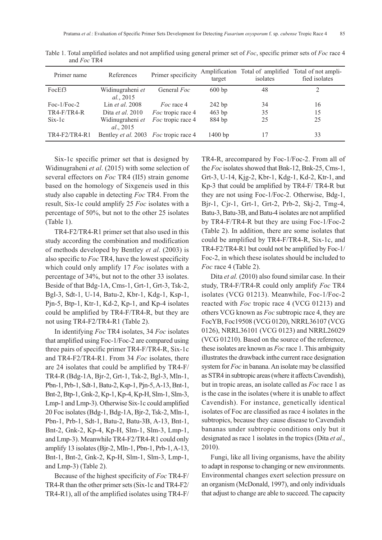| Primer name    | References                                          | Primer specificity | target    | Amplification Total of amplified<br>isolates | Total of not ampli-<br>fied isolates |
|----------------|-----------------------------------------------------|--------------------|-----------|----------------------------------------------|--------------------------------------|
| FocEf3         | Widinugraheni et<br><i>al.</i> , 2015               | General Foc        | 600bp     | 48                                           |                                      |
| Foc- $1/Foc-2$ | Lin <i>et al.</i> 2008                              | <i>Foc</i> race 4  | $242$ bp  | 34                                           | 16                                   |
| $TR4-F/TR4-R$  | Dita <i>et al.</i> 2010                             | Foc tropic race 4  | 463 bp    | 35                                           | 15                                   |
| $Six-1c$       | Widinugraheni et<br>al., 2015                       | Foc tropic race 4  | 884 bp    | 25                                           | 25                                   |
| TR4-F2/TR4-R1  | Bentley <i>et al.</i> 2003 <i>Foc</i> tropic race 4 |                    | $1400$ bp | 17                                           | 33                                   |

Table 1. Total amplified isolates and not amplified using general primer set of *Foc*, specific primer sets of *Foc* race 4 and *Foc* TR4

Six-1c specific primer set that is designed by Widinugraheni *et al*. (2015) with some selection of several effectors on *Foc* TR4 (II5) strain genome based on the homology of Sixgeneis used in this study also capable in detecting *Foc* TR4. From the result, Six-1c could amplify 25 *Foc* isolates with a percentage of 50%, but not to the other 25 isolates (Table 1).

TR4-F2/TR4-R1 primer set that also used in this study according the combination and modification of methods developed by Bentley *et al*. (2003) is also specific to *Foc* TR4, have the lowest specificity which could only amplify 17 *Foc* isolates with a percentage of 34%, but not to the other 33 isolates. Beside of that Bdg-1A, Cms-1, Grt-1, Grt-3, Tsk-2, Bgl-3, Sdt-1, U-14, Batu-2, Kbr-1, Kdg-1, Ksp-1, Pjn-5, Btp-1, Ktr-1, Kd-2, Kp-1, and Kp-4 isolates could be amplified by TR4-F/TR4-R, but they are not using TR4-F2/TR4-R1 (Table 2).

In identifying *Foc* TR4 isolates, 34 *Foc* isolates that amplified using Foc-1/Foc-2 are compared using three pairs of specific primer TR4-F/TR4-R, Six-1c and TR4-F2/TR4-R1. From 34 *Foc* isolates, there are 24 isolates that could be amplified by TR4-F/ TR4-R (Bdg-1A, Bjr-2, Grt-1, Tsk-2, Bgl-3, Mln-1, Pbn-1, Prb-1, Sdt-1, Batu-2, Ksp-1, Pjn-5, A-13, Bnt-1, Bnt-2, Btp-1, Gnk-2, Kp-1, Kp-4, Kp-H, Slm-1, Slm-3, Lmp-1 and Lmp-3). Otherwise Six-1c could amplified 20 Foc isolates (Bdg-1, Bdg-1A, Bjr-2, Tsk-2, Mln-1, Pbn-1, Prb-1, Sdt-1, Batu-2, Batu-3B, A-13, Bnt-1, Bnt-2, Gnk-2, Kp-4, Kp-H, Slm-1, Slm-3, Lmp-1, and Lmp-3). Meanwhile TR4-F2/TR4-R1 could only amplify 13 isolates (Bjr-2, Mln-1, Pbn-1, Prb-1, A-13, Bnt-1, Bnt-2, Gnk-2, Kp-H, Slm-1, Slm-3, Lmp-1, and Lmp-3) (Table 2).

Because of the highest specificity of *Foc* TR4-F/ TR4-R than the other primer sets (Six-1c and TR4-F2/ TR4-R1), all of the amplified isolates using TR4-F/ TR4-R, arecompared by Foc-1/Foc-2. From all of the *Foc* isolates showed that Bnk-12, Bnk-25, Cms-1, Grt-3, U-14, Kjg-2, Kbr-1, Kdg-1, Kd-2, Ktr-1, and Kp-3 that could be amplified by TR4-F/ TR4-R but they are not using Foc-1/Foc-2. Otherwise, Bdg-1, Bjr-1, Cjr-1, Grt-1, Grt-2, Prb-2, Skj-2, Tmg-4, Batu-3, Batu-3B, and Batu-4 isolates are not amplified by TR4-F/TR4-R but they are using Foc-1/Foc-2 (Table 2). In addition, there are some isolates that could be amplified by TR4-F/TR4-R, Six-1c, and TR4-F2/TR4-R1 but could not be amplified by Foc-1/ Foc-2, in which these isolates should be included to *Foc* race 4 (Table 2).

Dita *et al.* (2010) also found similar case. In their study, TR4-F/TR4-R could only amplify *Foc* TR4 isolates (VCG 01213). Meanwhile, Foc-1/Foc-2 reacted with *Foc* tropic race 4 (VCG 01213) and others VCG known as *Foc* subtropic race 4, they are FocYB, Foc19508 (VCG 0120), NRRL36107 (VCG 0126), NRRL36101 (VCG 0123) and NRRL26029 (VCG 01210). Based on the source of the reference, these isolates are known as *Foc* race 1. This ambiguity illustrates the drawback inthe current race designation system for *Foc* in banana. An isolate may be classified as STR4 in subtropic areas (where it affects Cavendish), but in tropic areas, an isolate called as *Foc* race 1 as is the case in the isolates (where it is unable to affect Cavendish). For instance, genetically identical isolates of Foc are classified as race 4 isolates in the subtropics, because they cause disease to Cavendish bananas under subtropic conditions only but it designated as race 1 isolates in the tropics (Dita *et al*., 2010).

Fungi, like all living organisms, have the ability to adapt in response to changing or new environments. Environmental changes exert selection pressure on an organism (McDonald, 1997), and only individuals that adjust to change are able to succeed. The capacity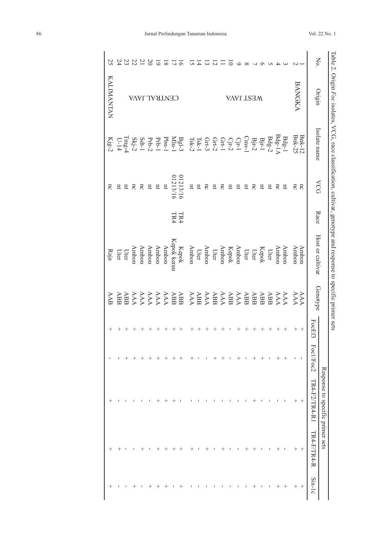|                   |      |              |                                                                                                                                               |                         | 20    | ما    |                  |             | $\sigma$                                                                                                                                                                                                                                                                                                                                                                                                 |                                                                                                                                                                                                                                                                                                                                                                                                                                                |                  |       |          |    |                                                                                                                                                                                                                                                                                                                                                                                                                                                               |      |        |                   |         |                                      |                    |               |                         | No.                                                                                                    |            |
|-------------------|------|--------------|-----------------------------------------------------------------------------------------------------------------------------------------------|-------------------------|-------|-------|------------------|-------------|----------------------------------------------------------------------------------------------------------------------------------------------------------------------------------------------------------------------------------------------------------------------------------------------------------------------------------------------------------------------------------------------------------|------------------------------------------------------------------------------------------------------------------------------------------------------------------------------------------------------------------------------------------------------------------------------------------------------------------------------------------------------------------------------------------------------------------------------------------------|------------------|-------|----------|----|---------------------------------------------------------------------------------------------------------------------------------------------------------------------------------------------------------------------------------------------------------------------------------------------------------------------------------------------------------------------------------------------------------------------------------------------------------------|------|--------|-------------------|---------|--------------------------------------|--------------------|---------------|-------------------------|--------------------------------------------------------------------------------------------------------|------------|
| <b>KALIMANTAN</b> |      |              | CENTRAL JAVA                                                                                                                                  |                         |       |       |                  |             |                                                                                                                                                                                                                                                                                                                                                                                                          |                                                                                                                                                                                                                                                                                                                                                                                                                                                |                  |       |          |    | WEST JAVA                                                                                                                                                                                                                                                                                                                                                                                                                                                     |      |        |                   |         |                                      |                    | <b>BANGKA</b> |                         | Origin                                                                                                 |            |
|                   |      |              |                                                                                                                                               |                         |       |       |                  |             | $\begin{array}{l} \mathbb{B} \mathbb{S}^{1,3}_{1} \\ \mathbb{S} \mathbb{S}^{1,3}_{1} \\ \mathbb{S} \mathbb{S}^{1,3}_{1} \\ \mathbb{S} \mathbb{S}^{1,3}_{1} \\ \mathbb{S} \mathbb{S}^{1,3}_{1} \\ \mathbb{S} \mathbb{S}^{1,3}_{1} \\ \mathbb{S} \mathbb{S}^{1,3}_{1} \\ \mathbb{S} \mathbb{S}^{1,3}_{1} \\ \mathbb{S} \mathbb{S}^{1,3}_{1} \\ \mathbb{S} \mathbb{S}^{1,3}_{1} \\ \mathbb{S} \mathbb{S}^{$ | $\begin{array}{l} \mathbf{\ddot{B}}_{1} \\ \mathbf{\ddot{B}}_{2} \\ \mathbf{\ddot{C}}_{3} \\ \mathbf{\ddot{C}}_{4} \\ \mathbf{\ddot{C}}_{5} \\ \mathbf{\ddot{C}}_{6} \\ \mathbf{\ddot{C}}_{7} \\ \mathbf{\ddot{C}}_{8} \\ \mathbf{\ddot{C}}_{9} \\ \mathbf{\ddot{C}}_{1} \\ \mathbf{\ddot{C}}_{1} \\ \mathbf{\ddot{C}}_{2} \\ \mathbf{\ddot{C}}_{1} \\ \mathbf{\ddot{C}}_{2} \\ \mathbf{\ddot{C}}_{3} \\ \mathbf{\ddot{C}}_{4} \\ \mathbf{\dd$ |                  |       |          |    |                                                                                                                                                                                                                                                                                                                                                                                                                                                               |      |        | $\rm Bi\mbox{-}1$ | $Bdg-2$ | $\frac{\text{Bdg-1}}{\text{Bdg-1A}}$ |                    |               | <b>Bnk-12</b><br>Bnk-25 | Isolate name                                                                                           |            |
| Ξ                 |      |              | πc                                                                                                                                            | $\overline{\mathrm{5}}$ | $\Xi$ | $\Xi$ | $\overline{\mu}$ | 01213/16    | 01213/16                                                                                                                                                                                                                                                                                                                                                                                                 | Ħ                                                                                                                                                                                                                                                                                                                                                                                                                                              | $\overline{\mu}$ | nc    | Ξ        | nc | ¤                                                                                                                                                                                                                                                                                                                                                                                                                                                             | Ξ    | ΩC     | ¤                 | ¤       | πc                                   | $\Xi$              | nc            | $\overline{\mathrm{c}}$ |                                                                                                        | <b>NCG</b> |
|                   |      |              |                                                                                                                                               |                         |       |       |                  | TR4<br>TR4  |                                                                                                                                                                                                                                                                                                                                                                                                          |                                                                                                                                                                                                                                                                                                                                                                                                                                                |                  |       |          |    |                                                                                                                                                                                                                                                                                                                                                                                                                                                               |      |        |                   |         |                                      |                    |               |                         | Race                                                                                                   |            |
| $\rm{Raja}$       |      | Uter<br>Uter | Ambon                                                                                                                                         | Ambon                   | Ambon | Ambon | Ambon            | Kepok kerau | Kepok                                                                                                                                                                                                                                                                                                                                                                                                    | Ambon                                                                                                                                                                                                                                                                                                                                                                                                                                          | Uter             | Ambon |          |    | Ambon<br>Kepok<br>Ambon<br>Uter                                                                                                                                                                                                                                                                                                                                                                                                                               | Uter | Uter   | Kepok             | Uter    | Ambon                                | Ambon              | Ambon         | Ambon                   | Host or cultivar                                                                                       |            |
|                   |      |              |                                                                                                                                               |                         |       |       |                  |             |                                                                                                                                                                                                                                                                                                                                                                                                          |                                                                                                                                                                                                                                                                                                                                                                                                                                                |                  |       |          |    |                                                                                                                                                                                                                                                                                                                                                                                                                                                               |      |        |                   |         |                                      |                    |               |                         |                                                                                                        |            |
| AAB               |      |              | $\begin{array}{lcl} \textbf{ABB} \\ \textbf{ABB} \\ \textbf{ABB} \\ \textbf{AAA} \\ \textbf{ABB} \\ \textbf{ABB} \\ \textbf{ABB} \end{array}$ |                         |       |       |                  |             |                                                                                                                                                                                                                                                                                                                                                                                                          |                                                                                                                                                                                                                                                                                                                                                                                                                                                |                  |       |          |    | $\begin{array}{c} \textbf{ABB} \\ \textbf{ABB} \\ \textbf{ABB} \\ \textbf{ABA} \\ \textbf{ABB} \\ \textbf{ABB} \\ \textbf{ABB} \\ \textbf{ABB} \\ \textbf{AAA} \\ \textbf{AAA} \\ \textbf{AAA} \\ \textbf{AAA} \\ \textbf{AAB} \\ \textbf{AAB} \\ \textbf{AAB} \\ \textbf{AAB} \\ \textbf{AAB} \\ \textbf{AAB} \\ \textbf{AAB} \\ \textbf{AAB} \\ \textbf{AAB} \\ \textbf{AAB} \\ \textbf{AAB} \\ \textbf{AAB} \\ \textbf{AAB} \\ \textbf{AAB} \\ \textbf{AA$ |      |        |                   | ABB     |                                      | AAA                |               | AAA                     | Genotype                                                                                               |            |
| $^+$              | $^+$ |              |                                                                                                                                               |                         |       |       |                  |             | $^{+}$                                                                                                                                                                                                                                                                                                                                                                                                   |                                                                                                                                                                                                                                                                                                                                                                                                                                                | $^+$             |       | $\, +$   |    |                                                                                                                                                                                                                                                                                                                                                                                                                                                               |      | $^{+}$ |                   |         |                                      | $\hspace{0.1mm} +$ | $^+$          |                         | FocEf3                                                                                                 |            |
|                   |      |              |                                                                                                                                               |                         |       |       |                  |             |                                                                                                                                                                                                                                                                                                                                                                                                          | $+$ +                                                                                                                                                                                                                                                                                                                                                                                                                                          |                  | - 11  |          |    |                                                                                                                                                                                                                                                                                                                                                                                                                                                               |      |        |                   |         |                                      |                    |               |                         |                                                                                                        |            |
|                   |      |              |                                                                                                                                               |                         |       |       |                  |             |                                                                                                                                                                                                                                                                                                                                                                                                          | $\sim$ 1                                                                                                                                                                                                                                                                                                                                                                                                                                       | $\mathbf{I}$     |       |          |    |                                                                                                                                                                                                                                                                                                                                                                                                                                                               |      |        |                   |         |                                      |                    |               |                         |                                                                                                        |            |
|                   |      |              |                                                                                                                                               |                         |       |       |                  |             |                                                                                                                                                                                                                                                                                                                                                                                                          |                                                                                                                                                                                                                                                                                                                                                                                                                                                |                  |       | $\sim$ 1 |    | $\sim 1$                                                                                                                                                                                                                                                                                                                                                                                                                                                      |      |        |                   |         |                                      |                    |               |                         | Response to specific primer sets<br>$\frac{\text{Response to specific primer sets}}{\text{Foc1/Foc2}}$ |            |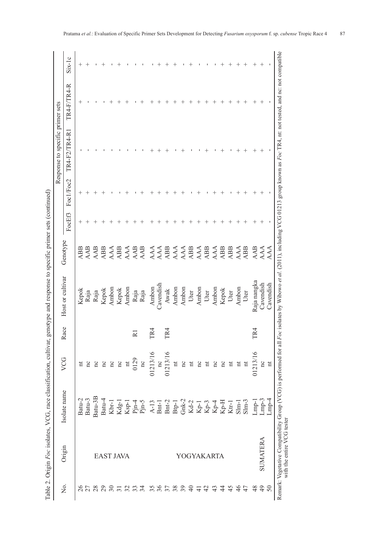| Ï                             |
|-------------------------------|
|                               |
|                               |
|                               |
|                               |
|                               |
|                               |
|                               |
|                               |
|                               |
|                               |
| j                             |
|                               |
|                               |
|                               |
| I                             |
|                               |
|                               |
|                               |
|                               |
|                               |
|                               |
|                               |
|                               |
|                               |
|                               |
| j                             |
| Ï                             |
|                               |
|                               |
| í                             |
|                               |
| $\frac{1}{2}$                 |
|                               |
| l                             |
|                               |
|                               |
|                               |
| ļ                             |
|                               |
| <b>.</b><br>.                 |
| i<br>l<br>Ó                   |
| ļ<br>ĺ                        |
| í<br>;<br>;<br>$\overline{a}$ |
|                               |

| Isolate name<br>Batu-3B<br>Batu-2<br>Batu-3<br>Batu-4<br>$\begin{array}{l} \rm Btp\text{-}1 \\ \rm Gnk\text{-}2 \\ \rm Kd\text{-}2 \\ \rm Kp\text{-}1 \\ \rm Kp\text{-}3 \\ \rm Kp\text{-}4 \\ \rm Kp\text{-}4 \\ \rm Kp\text{-}4 \\ \rm Kp\text{-}4 \\ \rm Kp\text{-}4 \\ \rm Kp\text{-}4 \\ \rm Kp\text{-}4 \\ \rm Kp\text{-}4 \\ \rm Kp\text{-}4 \\ \rm Kp\text{-}4 \\ \rm Kp\text{-}4 \\ \rm Kp\text{-}4 \\ \rm Kp\text{-}4 \\ \rm Kp\text{-}4 \\ \rm Kp\text{-}4 \\ \rm Kp\text{-}4 \\ \rm K$<br>$Pjn-4$<br>$Pjn-5$<br>$Bnt-2$<br>$A-13$<br>Bnt-1<br>Kdg-1<br>$Ksp-1$<br>$Kbr-1$<br>$Ktr-1$<br>Origin<br>YOGYAKARTA<br><b>EAST JAVA</b><br>Σ.<br>36<br>26<br>$30\,$<br>38<br>39<br>29<br>32<br>33<br>34<br>$\overline{\mathcal{E}}$<br>$\Theta$<br>42<br>43<br>$\ddot{4}$<br>45<br>$\overline{31}$<br>$\frac{1}{4}$ | VCG                     |                             |                  |                   |        |                    | Response to specific primer sets |                    |                    |
|--------------------------------------------------------------------------------------------------------------------------------------------------------------------------------------------------------------------------------------------------------------------------------------------------------------------------------------------------------------------------------------------------------------------------------------------------------------------------------------------------------------------------------------------------------------------------------------------------------------------------------------------------------------------------------------------------------------------------------------------------------------------------------------------------------------------------|-------------------------|-----------------------------|------------------|-------------------|--------|--------------------|----------------------------------|--------------------|--------------------|
|                                                                                                                                                                                                                                                                                                                                                                                                                                                                                                                                                                                                                                                                                                                                                                                                                          |                         | ace<br>$\tilde{\mathbf{K}}$ | Host or cultivar | Genotype          | FocEf3 | Foc1/Foc2          | TR4-F2/TR4-R1                    | TR4-F/TR4-R        | $Six-1c$           |
|                                                                                                                                                                                                                                                                                                                                                                                                                                                                                                                                                                                                                                                                                                                                                                                                                          | Ħ                       |                             | Kepok            | ABB               | $^+$   | $\hspace{0.1mm} +$ |                                  | ┿                  | $\hspace{0.1mm} +$ |
|                                                                                                                                                                                                                                                                                                                                                                                                                                                                                                                                                                                                                                                                                                                                                                                                                          | Ξ                       |                             | Raja             | AAB               |        |                    |                                  |                    | $\hspace{0.1mm} +$ |
|                                                                                                                                                                                                                                                                                                                                                                                                                                                                                                                                                                                                                                                                                                                                                                                                                          | nc                      |                             | Raja             | AAB               |        |                    |                                  |                    |                    |
|                                                                                                                                                                                                                                                                                                                                                                                                                                                                                                                                                                                                                                                                                                                                                                                                                          | nc                      |                             | Kepok            | ABB               |        |                    |                                  |                    |                    |
|                                                                                                                                                                                                                                                                                                                                                                                                                                                                                                                                                                                                                                                                                                                                                                                                                          | nc                      |                             | Ambon            | AAA               |        |                    |                                  |                    |                    |
|                                                                                                                                                                                                                                                                                                                                                                                                                                                                                                                                                                                                                                                                                                                                                                                                                          | nc                      |                             | Kepok            | ABB               |        |                    |                                  |                    |                    |
|                                                                                                                                                                                                                                                                                                                                                                                                                                                                                                                                                                                                                                                                                                                                                                                                                          | $\overline{\mathbf{u}}$ |                             | Ambon            | AAA               |        |                    |                                  |                    |                    |
|                                                                                                                                                                                                                                                                                                                                                                                                                                                                                                                                                                                                                                                                                                                                                                                                                          | 0129                    |                             | Raja             | <b>AAB</b><br>AAB |        |                    |                                  |                    |                    |
|                                                                                                                                                                                                                                                                                                                                                                                                                                                                                                                                                                                                                                                                                                                                                                                                                          | nc                      |                             | Raja             |                   |        |                    |                                  |                    |                    |
|                                                                                                                                                                                                                                                                                                                                                                                                                                                                                                                                                                                                                                                                                                                                                                                                                          | 01213/16                | TR4                         | Ambon            | AAA               |        |                    |                                  |                    |                    |
|                                                                                                                                                                                                                                                                                                                                                                                                                                                                                                                                                                                                                                                                                                                                                                                                                          | nc                      |                             | Cavendish        | AAA               |        |                    |                                  |                    |                    |
|                                                                                                                                                                                                                                                                                                                                                                                                                                                                                                                                                                                                                                                                                                                                                                                                                          | 01213/16                | TR <sub>4</sub>             | Awak             | ABB               |        |                    |                                  |                    |                    |
|                                                                                                                                                                                                                                                                                                                                                                                                                                                                                                                                                                                                                                                                                                                                                                                                                          | $\sharp$                |                             | Ambon            | AAA               |        |                    |                                  |                    |                    |
|                                                                                                                                                                                                                                                                                                                                                                                                                                                                                                                                                                                                                                                                                                                                                                                                                          | nc                      |                             | Ambon            |                   |        |                    |                                  |                    |                    |
|                                                                                                                                                                                                                                                                                                                                                                                                                                                                                                                                                                                                                                                                                                                                                                                                                          | $\overline{\mathbf{u}}$ |                             | Uter             | AAA<br>ABB        |        |                    |                                  |                    |                    |
|                                                                                                                                                                                                                                                                                                                                                                                                                                                                                                                                                                                                                                                                                                                                                                                                                          | nc                      |                             | Ambon            |                   |        |                    |                                  |                    |                    |
|                                                                                                                                                                                                                                                                                                                                                                                                                                                                                                                                                                                                                                                                                                                                                                                                                          | $\overline{\mathbf{u}}$ |                             | Uter             | AAA<br>ABB        |        |                    |                                  |                    |                    |
|                                                                                                                                                                                                                                                                                                                                                                                                                                                                                                                                                                                                                                                                                                                                                                                                                          | nc                      |                             | Ambon            | AAA               |        |                    |                                  |                    |                    |
|                                                                                                                                                                                                                                                                                                                                                                                                                                                                                                                                                                                                                                                                                                                                                                                                                          | nc                      |                             | Kepok            | ABB               |        |                    |                                  | $\, +$             |                    |
|                                                                                                                                                                                                                                                                                                                                                                                                                                                                                                                                                                                                                                                                                                                                                                                                                          | $\overline{\mathbf{u}}$ |                             | Uter             | ABB               |        |                    |                                  |                    |                    |
| $Slm-1$<br>$\frac{4}{6}$                                                                                                                                                                                                                                                                                                                                                                                                                                                                                                                                                                                                                                                                                                                                                                                                 | $\overline{\mathbf{u}}$ |                             | Ambon            | AAA               |        |                    |                                  |                    |                    |
| $S$ lm-3<br>47                                                                                                                                                                                                                                                                                                                                                                                                                                                                                                                                                                                                                                                                                                                                                                                                           | $\overline{\text{m}}$   |                             | Uter             | ABB               |        |                    |                                  | $\hspace{0.1mm} +$ | ┿                  |
| $Lmp-1$<br>48                                                                                                                                                                                                                                                                                                                                                                                                                                                                                                                                                                                                                                                                                                                                                                                                            | 01213/16                | TR <sub>4</sub>             | Raja nangka      | <b>AAB</b>        |        |                    |                                  | $\hspace{0.1mm} +$ |                    |
| Lmp-3<br>SUMATERA<br>$\overline{4}$                                                                                                                                                                                                                                                                                                                                                                                                                                                                                                                                                                                                                                                                                                                                                                                      | nc                      |                             | Cavendish        | AAA               |        |                    |                                  | $^+$               |                    |
| $Lmp-4$<br>50                                                                                                                                                                                                                                                                                                                                                                                                                                                                                                                                                                                                                                                                                                                                                                                                            | $\overline{\mathbf{u}}$ |                             | Cavendish        | AAA               |        |                    |                                  |                    |                    |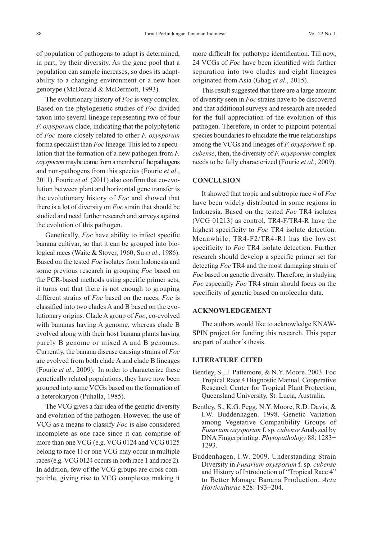of population of pathogens to adapt is determined, in part, by their diversity. As the gene pool that a population can sample increases, so does its adaptability to a changing environment or a new host genotype (McDonald & McDermott, 1993).

The evolutionary history of *Foc* is very complex. Based on the phylogenetic studies of *Foc* divided taxon into several lineage representing two of four *F. oxysporum* clade, indicating that the polyphyletic of *Foc* more closely related to other *F. oxysporum* forma specialist than *Foc* lineage. This led to a speculation that the formation of a new pathogen from *F. oxysporum*maybe come from a member of the pathogens and non-pathogens from this species (Fourie *et al*., 2011). Fourie *et al*. (2011) also confirm that co-evolution between plant and horizontal gene transfer is the evolutionary history of *Foc* and showed that there is a lot of diversity on *Foc* strain that should be studied and need further research and surveys against the evolution of this pathogen.

Genetically, *Foc* have ability to infect specific banana cultivar, so that it can be grouped into biological races (Waite & Stover, 1960; Su *et al*., 1986). Based on the tested *Foc* isolates from Indonesia and some previous research in grouping *Foc* based on the PCR-based methods using specific primer sets, it turns out that there is not enough to grouping different strains of *Foc* based on the races. *Foc* is classified into two clades A and B based on the evolutionary origins. Clade A group of *Foc*, co-evolved with bananas having A genome, whereas clade B evolved along with their host banana plants having purely B genome or mixed A and B genomes. Currently, the banana disease causing strains of *Foc* are evolved from both clade A and clade B lineages (Fourie *et al*., 2009). In order to characterize these genetically related populations, they have now been grouped into same VCGs based on the formation of a heterokaryon (Puhalla, 1985).

The VCG gives a fair idea of the genetic diversity and evolution of the pathogen. However, the use of VCG as a means to classify *Foc* is also considered incomplete as one race since it can comprise of more than one VCG (e.g. VCG 0124 and VCG 0125 belong to race 1) or one VCG may occur in multiple races (e.g. VCG 0124 occurs in both race 1 and race 2). In addition, few of the VCG groups are cross compatible, giving rise to VCG complexes making it more difficult for pathotype identification. Till now, 24 VCGs of *Foc* have been identified with further separation into two clades and eight lineages originated from Asia (Ghag *et al*., 2015).

This result suggested that there are a large amount of diversity seen in *Foc* strains have to be discovered and that additional surveys and research are needed for the full appreciation of the evolution of this pathogen. Therefore, in order to pinpoint potential species boundaries to elucidate the true relationships among the VCGs and lineages of *F. oxysporum* f. sp. *cubense*, then, the diversity of *F. oxysporum* complex needs to be fully characterized (Fourie *et al*., 2009).

# **CONCLUSION**

It showed that tropic and subtropic race 4 of *Foc* have been widely distributed in some regions in Indonesia. Based on the tested *Foc* TR4 isolates (VCG 01213) as control, TR4-F/TR4-R have the highest specificity to *Foc* TR4 isolate detection. Meanwhile, TR4-F2/TR4-R1 has the lowest specificity to *Foc* TR4 isolate detection. Further research should develop a specific primer set for detecting *Foc* TR4 and the most damaging strain of *Foc* based on genetic diversity. Therefore, in studying *Foc* especially *Foc* TR4 strain should focus on the specificity of genetic based on molecular data.

#### **ACKNOWLEDGEMENT**

The authors would like to acknowledge KNAW-SPIN project for funding this research. This paper are part of author's thesis.

### **LITERATURE CITED**

- Bentley, S., J. Pattemore, & N.Y. Moore. 2003. Foc Tropical Race 4 Diagnostic Manual. Cooperative Research Center for Tropical Plant Protection, Queensland University, St. Lucia, Australia.
- Bentley, S., K.G. Pegg, N.Y. Moore, R.D. Davis, & I.W. Buddenhagen. 1998. Genetic Variation among Vegetative Compatibility Groups of *Fusarium oxysporum* f. sp. *cubense* Analyzed by DNA Fingerprinting. *Phytopathology* 88: 1283− 1293.
- Buddenhagen, I.W. 2009. Understanding Strain Diversity in *Fusarium oxysporum* f. sp. *cubense* and History of Introduction of "Tropical Race 4" to Better Manage Banana Production. *Acta Horticulturae* 828: 193−204.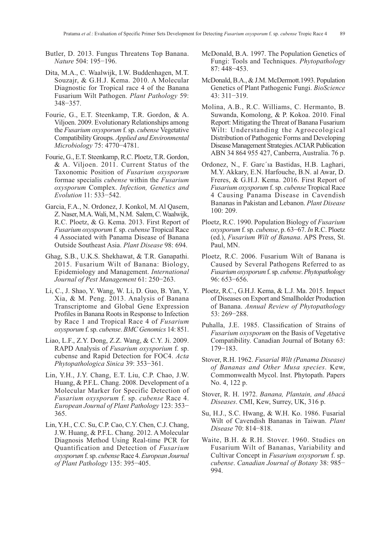- Butler, D. 2013. Fungus Threatens Top Banana. *Nature* 504: 195−196.
- Dita, M.A., C. Waalwijk, I.W. Buddenhagen, M.T. Souzajr, & G.H.J. Kema. 2010. A Molecular Diagnostic for Tropical race 4 of the Banana Fusarium Wilt Pathogen. *Plant Pathology* 59: 348−357.
- Fourie, G., E.T. Steenkamp, T.R. Gordon, & A. Viljoen. 2009. Evolutionary Relationships among the *Fusarium oxysporum* f. sp. *cubense* Vegetative Compatibility Groups. *Applied and Environmental Microbiology* 75: 4770−4781.
- Fourie, G., E.T. Steenkamp, R.C. Ploetz, T.R. Gordon, & A. Viljoen. 2011. Current Status of the Taxonomic Position of *Fusarium oxysporum* formae specialis *cubense* within the *Fusarium oxysporum* Complex. *Infection, Genetics and Evolution* 11: 533−542.
- Garcia, F.A., N. Ordonez, J. Konkol, M. Al Qasem, Z. Naser, M.A. Wali, M., N.M. Salem, C. Waalwijk, R.C. Ploetz, & G. Kema. 2013. First Report of *Fusarium oxysporum* f. sp. *cubense* Tropical Race 4 Associated with Panama Disease of Banana Outside Southeast Asia. *Plant Disease* 98: 694.
- Ghag, S.B., U.K.S. Shekhawat, & T.R. Ganapathi. 2015. Fusarium Wilt of Banana: Biology, Epidemiology and Management. *International Journal of Pest Management* 61: 250−263.
- Li, C., J. Shao, Y. Wang, W. Li, D. Guo, B. Yan, Y. Xia, & M. Peng. 2013. Analysis of Banana Transcriptome and Global Gene Expression Profiles in Banana Roots in Response to Infection by Race 1 and Tropical Race 4 of *Fusarium oxysporum* f. sp. *cubense*. *BMC Genomics* 14: 851.
- Liao, L.F., Z.Y. Dong, Z.Z. Wang, & C.Y. Ji. 2009. RAPD Analysis of *Fusarium oxysporium* f. sp. cubense and Rapid Detection for FOC4. *Acta Phytopathologica Sinica* 39: 353−361.
- Lin, Y.H., J.Y. Chang, E.T. Liu, C.P. Chao, J.W. Huang, & P.F.L. Chang. 2008. Development of a Molecular Marker for Specific Detection of *Fusarium oxysporum* f. sp. *cubense* Race 4. *European Journal of Plant Pathology* 123: 353− 365.
- Lin, Y.H., C.C. Su, C.P. Cao, C.Y. Chen, C.J. Chang, J.W. Huang, & P.F.L. Chang. 2012. A Molecular Diagnosis Method Using Real-time PCR for Quantification and Detection of *Fusarium oxysporum* f. sp. *cubense*Race 4. *European Journal of Plant Pathology* 135: 395−405.
- McDonald, B.A. 1997. The Population Genetics of Fungi: Tools and Techniques. *Phytopathology* 87: 448−453.
- McDonald, B.A., & J.M. McDermott.1993. Population Genetics of Plant Pathogenic Fungi. *BioScience* 43: 311−319.
- Molina, A.B., R.C. Williams, C. Hermanto, B. Suwanda, Komolong, & P. Kokoa. 2010. Final Report: Mitigating the Threat of Banana Fusarium Wilt: Understanding the Agroecological Distribution of Pathogenic Forms and Developing Disease Management Strategies. ACIAR Publication ABN 34 864 955 427, Canberra, Australia. 76 p.
- Ordonez, N., F. Garc´ıa Bastidas, H.B. Laghari, M.Y. Akkary, E.N. Harfouche, B.N. al Awar, D. Freres, & G.H.J. Kema. 2016. First Report of *Fusarium oxysporum* f. sp. *cubense* Tropical Race 4 Causing Panama Disease in Cavendish Bananas in Pakistan and Lebanon. *Plant Disease* 100: 209.
- Ploetz, R.C. 1990. Population Biology of *Fusarium oxysporum* f. sp. *cubense*, p. 63−67. *In* R.C. Ploetz (ed.), *Fusarium Wilt of Banana*. APS Press, St. Paul, MN.
- Ploetz, R.C. 2006. Fusarium Wilt of Banana is Caused by Several Pathogens Referred to as *Fusarium oxysporum*f. sp. *cubense*. *Phytopathology* 96: 653−656.
- Ploetz, R.C., G.H.J. Kema, & L.J. Ma. 2015. Impact of Diseases on Export and Smallholder Production of Banana. *Annual Review of Phytopathology* 53: 269−288.
- Puhalla, J.E. 1985. Classification of Strains of *Fusarium oxysporum* on the Basis of Vegetative Compatibility. Canadian Journal of Botany 63: 179−183.
- Stover, R.H. 1962. *Fusarial Wilt (Panama Disease) of Bananas and Other Musa species*. Kew, Commonwealth Mycol. Inst. Phytopath. Papers No. 4, 122 p.
- Stover, R. H. 1972. *Banana, Plantain, and Abacá Diseases*. CMI, Kew, Surrey, UK, 316 p.
- Su, H.J., S.C. Hwang, & W.H. Ko. 1986. Fusarial Wilt of Cavendish Bananas in Taiwan. *Plant Disease* 70: 814−818.
- Waite, B.H. & R.H. Stover. 1960. Studies on Fusarium Wilt of Bananas, Variability and Cultivar Concept in *Fusarium oxysporum* f. sp. *cubense*. *Canadian Journal of Botany* 38: 985− 994.